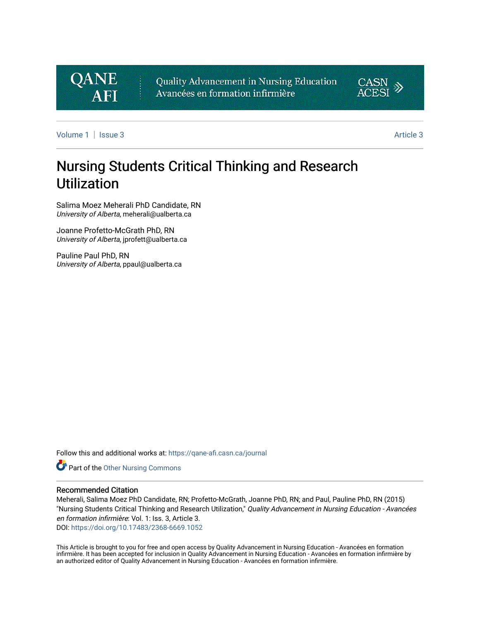

Quality Advancement in Nursing Education Avancées en formation infirmière



[Volume 1](https://qane-afi.casn.ca/journal/vol1) | [Issue 3](https://qane-afi.casn.ca/journal/vol1/iss3) [Article 3](https://qane-afi.casn.ca/journal/vol1/iss3/3) Article 3 Article 3 Article 3 Article 3 Article 3 Article 3 Article 3 Article 3 A

# Nursing Students Critical Thinking and Research Utilization

Salima Moez Meherali PhD Candidate, RN University of Alberta, meherali@ualberta.ca

Joanne Profetto-McGrath PhD, RN University of Alberta, jprofett@ualberta.ca

Pauline Paul PhD, RN University of Alberta, ppaul@ualberta.ca

Follow this and additional works at: [https://qane-afi.casn.ca/journal](https://qane-afi.casn.ca/journal?utm_source=qane-afi.casn.ca%2Fjournal%2Fvol1%2Fiss3%2F3&utm_medium=PDF&utm_campaign=PDFCoverPages) 

**P** Part of the [Other Nursing Commons](http://network.bepress.com/hgg/discipline/729?utm_source=qane-afi.casn.ca%2Fjournal%2Fvol1%2Fiss3%2F3&utm_medium=PDF&utm_campaign=PDFCoverPages)

#### Recommended Citation

Meherali, Salima Moez PhD Candidate, RN; Profetto-McGrath, Joanne PhD, RN; and Paul, Pauline PhD, RN (2015) "Nursing Students Critical Thinking and Research Utilization," Quality Advancement in Nursing Education - Avancées en formation infirmière: Vol. 1: Iss. 3, Article 3. DOI: <https://doi.org/10.17483/2368-6669.1052>

This Article is brought to you for free and open access by Quality Advancement in Nursing Education - Avancées en formation infirmière. It has been accepted for inclusion in Quality Advancement in Nursing Education - Avancées en formation infirmière by an authorized editor of Quality Advancement in Nursing Education - Avancées en formation infirmière.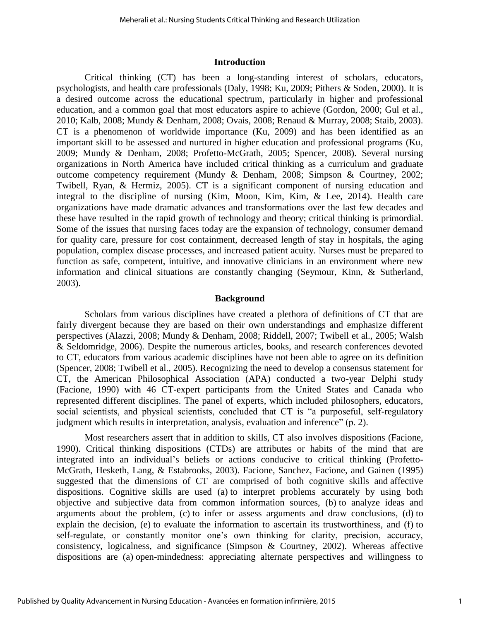#### **Introduction**

Critical thinking (CT) has been a long-standing interest of scholars, educators, psychologists, and health care professionals (Daly, 1998; Ku, 2009; Pithers & Soden, 2000). It is a desired outcome across the educational spectrum, particularly in higher and professional education, and a common goal that most educators aspire to achieve (Gordon, 2000; Gul et al., 2010; Kalb, 2008; Mundy & Denham, 2008; Ovais, 2008; Renaud & Murray, 2008; Staib, 2003). CT is a phenomenon of worldwide importance (Ku, 2009) and has been identified as an important skill to be assessed and nurtured in higher education and professional programs (Ku, 2009; Mundy & Denham, 2008; Profetto-McGrath, 2005; Spencer, 2008). Several nursing organizations in North America have included critical thinking as a curriculum and graduate outcome competency requirement (Mundy & Denham, 2008; Simpson & Courtney, 2002; Twibell, Ryan, & Hermiz, 2005). CT is a significant component of nursing education and integral to the discipline of nursing (Kim, Moon, Kim, Kim, & Lee, 2014). Health care organizations have made dramatic advances and transformations over the last few decades and these have resulted in the rapid growth of technology and theory; critical thinking is primordial. Some of the issues that nursing faces today are the expansion of technology, consumer demand for quality care, pressure for cost containment, decreased length of stay in hospitals, the aging population, complex disease processes, and increased patient acuity. Nurses must be prepared to function as safe, competent, intuitive, and innovative clinicians in an environment where new information and clinical situations are constantly changing (Seymour, Kinn, & Sutherland, 2003).

#### **Background**

Scholars from various disciplines have created a plethora of definitions of CT that are fairly divergent because they are based on their own understandings and emphasize different perspectives (Alazzi, 2008; Mundy & Denham, 2008; Riddell, 2007; Twibell et al., 2005; Walsh & Seldomridge, 2006). Despite the numerous articles, books, and research conferences devoted to CT, educators from various academic disciplines have not been able to agree on its definition (Spencer, 2008; Twibell et al., 2005). Recognizing the need to develop a consensus statement for CT, the American Philosophical Association (APA) conducted a two-year Delphi study (Facione, 1990) with 46 CT-expert participants from the United States and Canada who represented different disciplines. The panel of experts, which included philosophers, educators, social scientists, and physical scientists, concluded that CT is "a purposeful, self-regulatory judgment which results in interpretation, analysis, evaluation and inference" (p. 2).

Most researchers assert that in addition to skills, CT also involves dispositions (Facione, 1990). Critical thinking dispositions (CTDs) are attributes or habits of the mind that are integrated into an individual's beliefs or actions conducive to critical thinking (Profetto-McGrath, Hesketh, Lang, & Estabrooks, 2003). Facione, Sanchez, Facione, and Gainen (1995) suggested that the dimensions of CT are comprised of both cognitive skills and affective dispositions. Cognitive skills are used (a) to interpret problems accurately by using both objective and subjective data from common information sources, (b) to analyze ideas and arguments about the problem, (c) to infer or assess arguments and draw conclusions, (d) to explain the decision, (e) to evaluate the information to ascertain its trustworthiness, and (f) to self-regulate, or constantly monitor one's own thinking for clarity, precision, accuracy, consistency, logicalness, and significance (Simpson & Courtney, 2002). Whereas affective dispositions are (a) open-mindedness: appreciating alternate perspectives and willingness to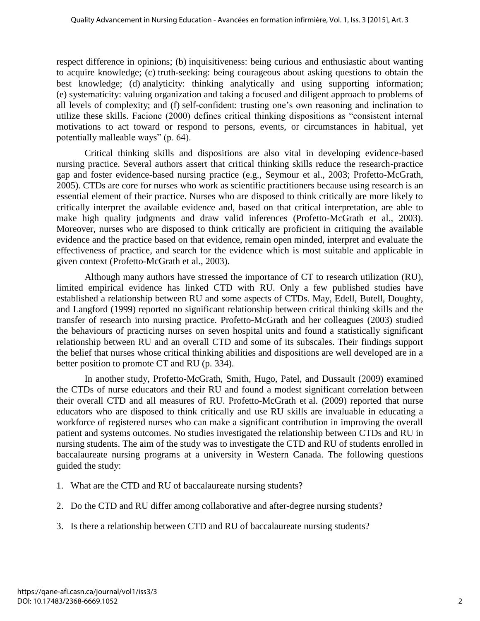respect difference in opinions; (b) inquisitiveness: being curious and enthusiastic about wanting to acquire knowledge; (c) truth-seeking: being courageous about asking questions to obtain the best knowledge; (d) analyticity: thinking analytically and using supporting information; (e) systematicity: valuing organization and taking a focused and diligent approach to problems of all levels of complexity; and (f) self-confident: trusting one's own reasoning and inclination to utilize these skills. Facione (2000) defines critical thinking dispositions as "consistent internal motivations to act toward or respond to persons, events, or circumstances in habitual, yet potentially malleable ways" (p. 64).

Critical thinking skills and dispositions are also vital in developing evidence-based nursing practice. Several authors assert that critical thinking skills reduce the research-practice gap and foster evidence-based nursing practice (e.g., Seymour et al., 2003; Profetto-McGrath, 2005). CTDs are core for nurses who work as scientific practitioners because using research is an essential element of their practice. Nurses who are disposed to think critically are more likely to critically interpret the available evidence and, based on that critical interpretation, are able to make high quality judgments and draw valid inferences (Profetto-McGrath et al., 2003). Moreover, nurses who are disposed to think critically are proficient in critiquing the available evidence and the practice based on that evidence, remain open minded, interpret and evaluate the effectiveness of practice, and search for the evidence which is most suitable and applicable in given context (Profetto-McGrath et al., 2003).

Although many authors have stressed the importance of CT to research utilization (RU), limited empirical evidence has linked CTD with RU. Only a few published studies have established a relationship between RU and some aspects of CTDs. May, Edell, Butell, Doughty, and Langford (1999) reported no significant relationship between critical thinking skills and the transfer of research into nursing practice. Profetto-McGrath and her colleagues (2003) studied the behaviours of practicing nurses on seven hospital units and found a statistically significant relationship between RU and an overall CTD and some of its subscales. Their findings support the belief that nurses whose critical thinking abilities and dispositions are well developed are in a better position to promote CT and RU (p. 334).

In another study, Profetto-McGrath, Smith, Hugo, Patel, and Dussault (2009) examined the CTDs of nurse educators and their RU and found a modest significant correlation between their overall CTD and all measures of RU. Profetto-McGrath et al. (2009) reported that nurse educators who are disposed to think critically and use RU skills are invaluable in educating a workforce of registered nurses who can make a significant contribution in improving the overall patient and systems outcomes. No studies investigated the relationship between CTDs and RU in nursing students. The aim of the study was to investigate the CTD and RU of students enrolled in baccalaureate nursing programs at a university in Western Canada. The following questions guided the study:

- 1. What are the CTD and RU of baccalaureate nursing students?
- 2. Do the CTD and RU differ among collaborative and after-degree nursing students?
- 3. Is there a relationship between CTD and RU of baccalaureate nursing students?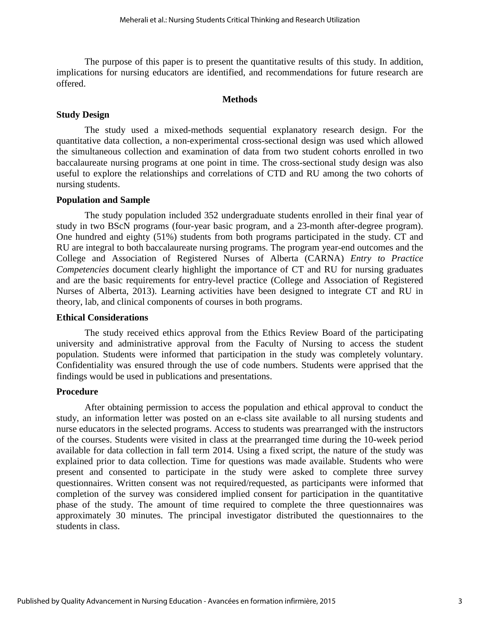The purpose of this paper is to present the quantitative results of this study. In addition, implications for nursing educators are identified, and recommendations for future research are offered.

#### **Methods**

## **Study Design**

The study used a mixed-methods sequential explanatory research design. For the quantitative data collection, a non-experimental cross-sectional design was used which allowed the simultaneous collection and examination of data from two student cohorts enrolled in two baccalaureate nursing programs at one point in time. The cross-sectional study design was also useful to explore the relationships and correlations of CTD and RU among the two cohorts of nursing students.

## **Population and Sample**

The study population included 352 undergraduate students enrolled in their final year of study in two BScN programs (four-year basic program, and a 23-month after-degree program). One hundred and eighty (51%) students from both programs participated in the study. CT and RU are integral to both baccalaureate nursing programs. The program year-end outcomes and the College and Association of Registered Nurses of Alberta (CARNA) *Entry to Practice Competencies* document clearly highlight the importance of CT and RU for nursing graduates and are the basic requirements for entry-level practice (College and Association of Registered Nurses of Alberta, 2013). Learning activities have been designed to integrate CT and RU in theory, lab, and clinical components of courses in both programs.

## **Ethical Considerations**

The study received ethics approval from the Ethics Review Board of the participating university and administrative approval from the Faculty of Nursing to access the student population. Students were informed that participation in the study was completely voluntary. Confidentiality was ensured through the use of code numbers. Students were apprised that the findings would be used in publications and presentations.

## **Procedure**

After obtaining permission to access the population and ethical approval to conduct the study, an information letter was posted on an e-class site available to all nursing students and nurse educators in the selected programs. Access to students was prearranged with the instructors of the courses. Students were visited in class at the prearranged time during the 10-week period available for data collection in fall term 2014. Using a fixed script, the nature of the study was explained prior to data collection. Time for questions was made available. Students who were present and consented to participate in the study were asked to complete three survey questionnaires. Written consent was not required/requested, as participants were informed that completion of the survey was considered implied consent for participation in the quantitative phase of the study. The amount of time required to complete the three questionnaires was approximately 30 minutes. The principal investigator distributed the questionnaires to the students in class.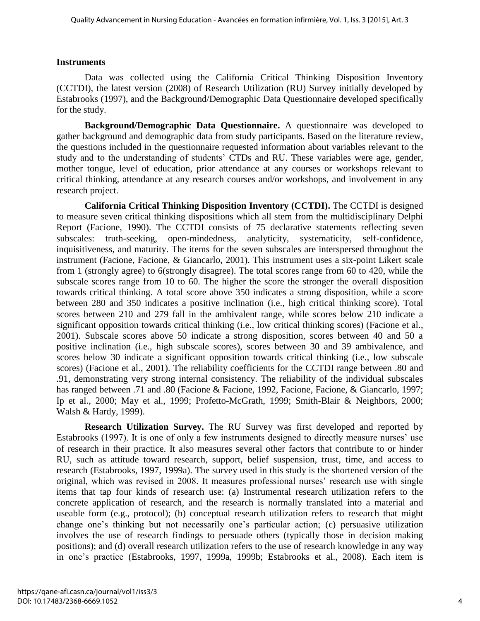## **Instruments**

Data was collected using the California Critical Thinking Disposition Inventory (CCTDI), the latest version (2008) of Research Utilization (RU) Survey initially developed by Estabrooks (1997), and the Background/Demographic Data Questionnaire developed specifically for the study.

**Background/Demographic Data Questionnaire.** A questionnaire was developed to gather background and demographic data from study participants. Based on the literature review, the questions included in the questionnaire requested information about variables relevant to the study and to the understanding of students' CTDs and RU. These variables were age, gender, mother tongue, level of education, prior attendance at any courses or workshops relevant to critical thinking, attendance at any research courses and/or workshops, and involvement in any research project.

**California Critical Thinking Disposition Inventory (CCTDI).** The CCTDI is designed to measure seven critical thinking dispositions which all stem from the multidisciplinary Delphi Report (Facione, 1990). The CCTDI consists of 75 declarative statements reflecting seven subscales: truth-seeking, open-mindedness, analyticity, systematicity, self-confidence, inquisitiveness, and maturity. The items for the seven subscales are interspersed throughout the instrument (Facione, Facione, & Giancarlo, 2001). This instrument uses a six-point Likert scale from 1 (strongly agree) to 6(strongly disagree). The total scores range from 60 to 420, while the subscale scores range from 10 to 60. The higher the score the stronger the overall disposition towards critical thinking. A total score above 350 indicates a strong disposition, while a score between 280 and 350 indicates a positive inclination (i.e., high critical thinking score). Total scores between 210 and 279 fall in the ambivalent range, while scores below 210 indicate a significant opposition towards critical thinking (i.e., low critical thinking scores) (Facione et al., 2001). Subscale scores above 50 indicate a strong disposition, scores between 40 and 50 a positive inclination (i.e., high subscale scores), scores between 30 and 39 ambivalence, and scores below 30 indicate a significant opposition towards critical thinking (i.e., low subscale scores) (Facione et al., 2001). The reliability coefficients for the CCTDI range between .80 and .91, demonstrating very strong internal consistency. The reliability of the individual subscales has ranged between .71 and .80 (Facione & Facione, 1992, Facione, Facione, & Giancarlo, 1997; Ip et al., 2000; May et al., 1999; Profetto-McGrath, 1999; Smith-Blair & Neighbors, 2000; Walsh & Hardy, 1999).

**Research Utilization Survey.** The RU Survey was first developed and reported by Estabrooks (1997). It is one of only a few instruments designed to directly measure nurses' use of research in their practice. It also measures several other factors that contribute to or hinder RU, such as attitude toward research, support, belief suspension, trust, time, and access to research (Estabrooks, 1997, 1999a). The survey used in this study is the shortened version of the original, which was revised in 2008. It measures professional nurses' research use with single items that tap four kinds of research use: (a) Instrumental research utilization refers to the concrete application of research, and the research is normally translated into a material and useable form (e.g., protocol); (b) conceptual research utilization refers to research that might change one's thinking but not necessarily one's particular action; (c) persuasive utilization involves the use of research findings to persuade others (typically those in decision making positions); and (d) overall research utilization refers to the use of research knowledge in any way in one's practice (Estabrooks, 1997, 1999a, 1999b; Estabrooks et al., 2008). Each item is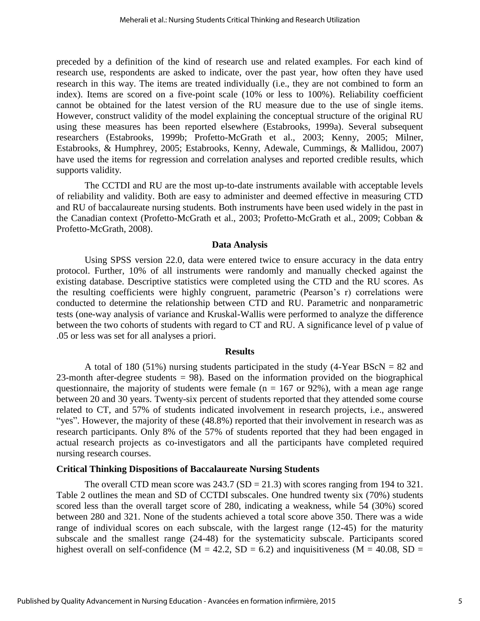preceded by a definition of the kind of research use and related examples. For each kind of research use, respondents are asked to indicate, over the past year, how often they have used research in this way. The items are treated individually (i.e., they are not combined to form an index). Items are scored on a five-point scale (10% or less to 100%). Reliability coefficient cannot be obtained for the latest version of the RU measure due to the use of single items. However, construct validity of the model explaining the conceptual structure of the original RU using these measures has been reported elsewhere (Estabrooks, 1999a). Several subsequent researchers (Estabrooks, 1999b; Profetto-McGrath et al., 2003; Kenny, 2005; Milner, Estabrooks, & Humphrey, 2005; Estabrooks, Kenny, Adewale, Cummings, & Mallidou, 2007) have used the items for regression and correlation analyses and reported credible results, which supports validity.

The CCTDI and RU are the most up-to-date instruments available with acceptable levels of reliability and validity. Both are easy to administer and deemed effective in measuring CTD and RU of baccalaureate nursing students. Both instruments have been used widely in the past in the Canadian context (Profetto-McGrath et al., 2003; Profetto-McGrath et al., 2009; Cobban & Profetto-McGrath, 2008).

#### **Data Analysis**

Using SPSS version 22.0, data were entered twice to ensure accuracy in the data entry protocol. Further, 10% of all instruments were randomly and manually checked against the existing database. Descriptive statistics were completed using the CTD and the RU scores. As the resulting coefficients were highly congruent, parametric (Pearson's r) correlations were conducted to determine the relationship between CTD and RU. Parametric and nonparametric tests (one-way analysis of variance and Kruskal-Wallis were performed to analyze the difference between the two cohorts of students with regard to CT and RU. A significance level of p value of .05 or less was set for all analyses a priori.

#### **Results**

A total of 180 (51%) nursing students participated in the study (4-Year BScN  $= 82$  and 23-month after-degree students  $= 98$ ). Based on the information provided on the biographical questionnaire, the majority of students were female ( $n = 167$  or 92%), with a mean age range between 20 and 30 years. Twenty-six percent of students reported that they attended some course related to CT, and 57% of students indicated involvement in research projects, i.e., answered "yes". However, the majority of these (48.8%) reported that their involvement in research was as research participants. Only 8% of the 57% of students reported that they had been engaged in actual research projects as co-investigators and all the participants have completed required nursing research courses.

## **Critical Thinking Dispositions of Baccalaureate Nursing Students**

The overall CTD mean score was  $243.7$  (SD = 21.3) with scores ranging from 194 to 321. Table 2 outlines the mean and SD of CCTDI subscales. One hundred twenty six (70%) students scored less than the overall target score of 280, indicating a weakness, while 54 (30%) scored between 280 and 321. None of the students achieved a total score above 350. There was a wide range of individual scores on each subscale, with the largest range (12-45) for the maturity subscale and the smallest range (24-48) for the systematicity subscale. Participants scored highest overall on self-confidence ( $M = 42.2$ ,  $SD = 6.2$ ) and inquisitiveness ( $M = 40.08$ ,  $SD =$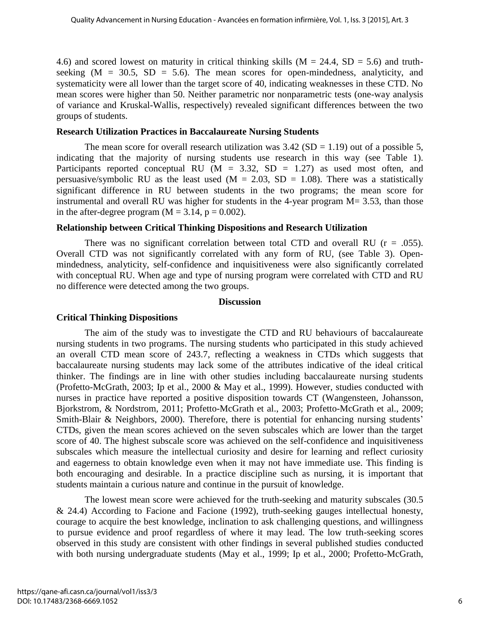4.6) and scored lowest on maturity in critical thinking skills ( $M = 24.4$ ,  $SD = 5.6$ ) and truthseeking  $(M = 30.5, SD = 5.6)$ . The mean scores for open-mindedness, analyticity, and systematicity were all lower than the target score of 40, indicating weaknesses in these CTD. No mean scores were higher than 50. Neither parametric nor nonparametric tests (one-way analysis of variance and Kruskal-Wallis, respectively) revealed significant differences between the two groups of students.

## **Research Utilization Practices in Baccalaureate Nursing Students**

The mean score for overall research utilization was  $3.42$  (SD = 1.19) out of a possible 5, indicating that the majority of nursing students use research in this way (see Table 1). Participants reported conceptual RU ( $M = 3.32$ , SD = 1.27) as used most often, and persuasive/symbolic RU as the least used  $(M = 2.03, SD = 1.08)$ . There was a statistically significant difference in RU between students in the two programs; the mean score for instrumental and overall RU was higher for students in the 4-year program  $M = 3.53$ , than those in the after-degree program  $(M = 3.14, p = 0.002)$ .

## **Relationship between Critical Thinking Dispositions and Research Utilization**

There was no significant correlation between total CTD and overall RU ( $r = .055$ ). Overall CTD was not significantly correlated with any form of RU, (see Table 3). Openmindedness, analyticity, self-confidence and inquisitiveness were also significantly correlated with conceptual RU. When age and type of nursing program were correlated with CTD and RU no difference were detected among the two groups.

## **Discussion**

## **Critical Thinking Dispositions**

The aim of the study was to investigate the CTD and RU behaviours of baccalaureate nursing students in two programs. The nursing students who participated in this study achieved an overall CTD mean score of 243.7, reflecting a weakness in CTDs which suggests that baccalaureate nursing students may lack some of the attributes indicative of the ideal critical thinker. The findings are in line with other studies including baccalaureate nursing students (Profetto-McGrath, 2003; Ip et al., 2000 & May et al., 1999). However, studies conducted with nurses in practice have reported a positive disposition towards CT (Wangensteen, Johansson, Bjorkstrom, & Nordstrom, 2011; Profetto-McGrath et al., 2003; Profetto-McGrath et al., 2009; Smith-Blair & Neighbors, 2000). Therefore, there is potential for enhancing nursing students' CTDs, given the mean scores achieved on the seven subscales which are lower than the target score of 40. The highest subscale score was achieved on the self-confidence and inquisitiveness subscales which measure the intellectual curiosity and desire for learning and reflect curiosity and eagerness to obtain knowledge even when it may not have immediate use. This finding is both encouraging and desirable. In a practice discipline such as nursing, it is important that students maintain a curious nature and continue in the pursuit of knowledge.

The lowest mean score were achieved for the truth-seeking and maturity subscales (30.5 & 24.4) According to Facione and Facione (1992), truth-seeking gauges intellectual honesty, courage to acquire the best knowledge, inclination to ask challenging questions, and willingness to pursue evidence and proof regardless of where it may lead. The low truth-seeking scores observed in this study are consistent with other findings in several published studies conducted with both nursing undergraduate students (May et al., 1999; Ip et al., 2000; Profetto-McGrath,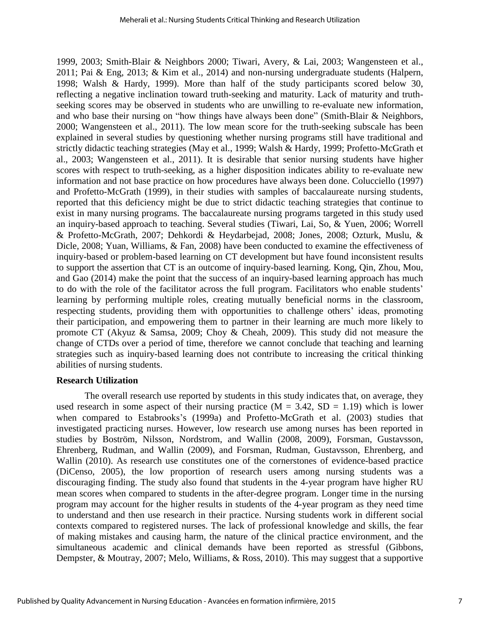1999, 2003; Smith-Blair & Neighbors 2000; Tiwari, Avery, & Lai, 2003; Wangensteen et al., 2011; Pai & Eng, 2013; & Kim et al., 2014) and non-nursing undergraduate students (Halpern, 1998; Walsh & Hardy, 1999). More than half of the study participants scored below 30, reflecting a negative inclination toward truth-seeking and maturity. Lack of maturity and truthseeking scores may be observed in students who are unwilling to re-evaluate new information, and who base their nursing on "how things have always been done" (Smith-Blair & Neighbors, 2000; Wangensteen et al., 2011). The low mean score for the truth-seeking subscale has been explained in several studies by questioning whether nursing programs still have traditional and strictly didactic teaching strategies (May et al., 1999; Walsh & Hardy, 1999; Profetto-McGrath et al., 2003; Wangensteen et al., 2011). It is desirable that senior nursing students have higher scores with respect to truth-seeking, as a higher disposition indicates ability to re-evaluate new information and not base practice on how procedures have always been done. Colucciello (1997) and Profetto-McGrath (1999), in their studies with samples of baccalaureate nursing students, reported that this deficiency might be due to strict didactic teaching strategies that continue to exist in many nursing programs. The baccalaureate nursing programs targeted in this study used an inquiry-based approach to teaching. Several studies (Tiwari, Lai, So, & Yuen, 2006; Worrell & Profetto-McGrath, 2007; Dehkordi & Heydarbejad, 2008; Jones, 2008; Ozturk, Muslu, & Dicle, 2008; Yuan, Williams, & Fan, 2008) have been conducted to examine the effectiveness of inquiry-based or problem-based learning on CT development but have found inconsistent results to support the assertion that CT is an outcome of inquiry-based learning. Kong, Qin, Zhou, Mou, and Gao (2014) make the point that the success of an inquiry-based learning approach has much to do with the role of the facilitator across the full program. Facilitators who enable students' learning by performing multiple roles, creating mutually beneficial norms in the classroom, respecting students, providing them with opportunities to challenge others' ideas, promoting their participation, and empowering them to partner in their learning are much more likely to promote CT (Akyuz & Samsa, 2009; Choy & Cheah, 2009). This study did not measure the change of CTDs over a period of time, therefore we cannot conclude that teaching and learning strategies such as inquiry-based learning does not contribute to increasing the critical thinking abilities of nursing students.

#### **Research Utilization**

The overall research use reported by students in this study indicates that, on average, they used research in some aspect of their nursing practice ( $M = 3.42$ ,  $SD = 1.19$ ) which is lower when compared to Estabrooks's (1999a) and Profetto-McGrath et al. (2003) studies that investigated practicing nurses. However, low research use among nurses has been reported in studies by Boström, Nilsson, Nordstrom, and Wallin (2008, 2009), Forsman, Gustavsson, Ehrenberg, Rudman, and Wallin (2009), and Forsman, Rudman, Gustavsson, Ehrenberg, and Wallin (2010). As research use constitutes one of the cornerstones of evidence-based practice (DiCenso, 2005), the low proportion of research users among nursing students was a discouraging finding. The study also found that students in the 4-year program have higher RU mean scores when compared to students in the after-degree program. Longer time in the nursing program may account for the higher results in students of the 4-year program as they need time to understand and then use research in their practice. Nursing students work in different social contexts compared to registered nurses. The lack of professional knowledge and skills, the fear of making mistakes and causing harm, the nature of the clinical practice environment, and the simultaneous academic and clinical demands have been reported as stressful (Gibbons, Dempster, & Moutray, 2007; Melo, Williams, & Ross, 2010). This may suggest that a supportive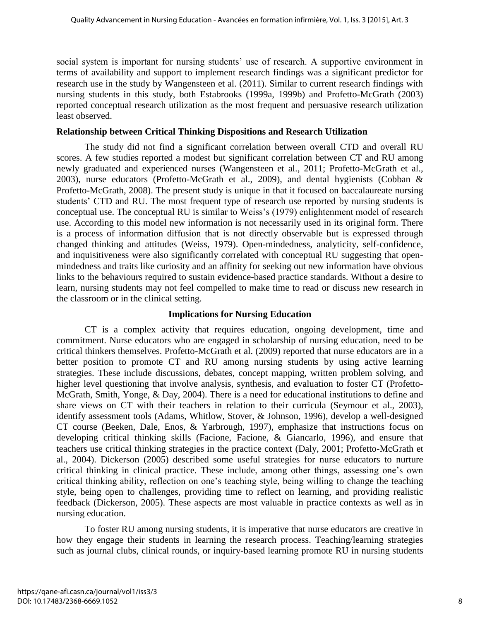social system is important for nursing students' use of research. A supportive environment in terms of availability and support to implement research findings was a significant predictor for research use in the study by Wangensteen et al. (2011). Similar to current research findings with nursing students in this study, both Estabrooks (1999a, 1999b) and Profetto-McGrath (2003) reported conceptual research utilization as the most frequent and persuasive research utilization least observed.

## **Relationship between Critical Thinking Dispositions and Research Utilization**

The study did not find a significant correlation between overall CTD and overall RU scores. A few studies reported a modest but significant correlation between CT and RU among newly graduated and experienced nurses (Wangensteen et al., 2011; Profetto-McGrath et al., 2003), nurse educators (Profetto-McGrath et al., 2009), and dental hygienists (Cobban & Profetto-McGrath, 2008). The present study is unique in that it focused on baccalaureate nursing students' CTD and RU. The most frequent type of research use reported by nursing students is conceptual use. The conceptual RU is similar to Weiss's (1979) enlightenment model of research use. According to this model new information is not necessarily used in its original form. There is a process of information diffusion that is not directly observable but is expressed through changed thinking and attitudes (Weiss, 1979). Open-mindedness, analyticity, self-confidence, and inquisitiveness were also significantly correlated with conceptual RU suggesting that openmindedness and traits like curiosity and an affinity for seeking out new information have obvious links to the behaviours required to sustain evidence-based practice standards. Without a desire to learn, nursing students may not feel compelled to make time to read or discuss new research in the classroom or in the clinical setting.

## **Implications for Nursing Education**

CT is a complex activity that requires education, ongoing development, time and commitment. Nurse educators who are engaged in scholarship of nursing education, need to be critical thinkers themselves. Profetto-McGrath et al. (2009) reported that nurse educators are in a better position to promote CT and RU among nursing students by using active learning strategies. These include discussions, debates, concept mapping, written problem solving, and higher level questioning that involve analysis, synthesis, and evaluation to foster CT (Profetto-McGrath, Smith, Yonge, & Day, 2004). There is a need for educational institutions to define and share views on CT with their teachers in relation to their curricula (Seymour et al., 2003), identify assessment tools (Adams, Whitlow, Stover, & Johnson, 1996), develop a well-designed CT course (Beeken, Dale, Enos, & Yarbrough, 1997), emphasize that instructions focus on developing critical thinking skills (Facione, Facione, & Giancarlo, 1996), and ensure that teachers use critical thinking strategies in the practice context (Daly, 2001; Profetto-McGrath et al., 2004). Dickerson (2005) described some useful strategies for nurse educators to nurture critical thinking in clinical practice. These include, among other things, assessing one's own critical thinking ability, reflection on one's teaching style, being willing to change the teaching style, being open to challenges, providing time to reflect on learning, and providing realistic feedback (Dickerson, 2005). These aspects are most valuable in practice contexts as well as in nursing education.

To foster RU among nursing students, it is imperative that nurse educators are creative in how they engage their students in learning the research process. Teaching/learning strategies such as journal clubs, clinical rounds, or inquiry-based learning promote RU in nursing students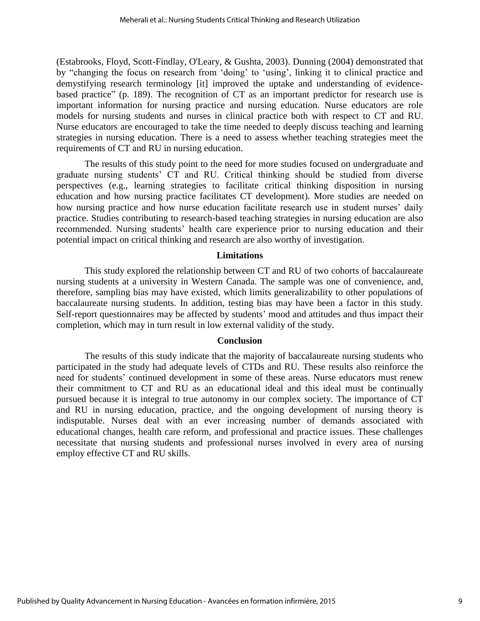(Estabrooks, Floyd, Scott-Findlay, O'Leary, & Gushta, 2003). Dunning (2004) demonstrated that by "changing the focus on research from 'doing' to 'using', linking it to clinical practice and demystifying research terminology [it] improved the uptake and understanding of evidencebased practice" (p. 189). The recognition of CT as an important predictor for research use is important information for nursing practice and nursing education. Nurse educators are role models for nursing students and nurses in clinical practice both with respect to CT and RU. Nurse educators are encouraged to take the time needed to deeply discuss teaching and learning strategies in nursing education. There is a need to assess whether teaching strategies meet the requirements of CT and RU in nursing education.

The results of this study point to the need for more studies focused on undergraduate and graduate nursing students' CT and RU. Critical thinking should be studied from diverse perspectives (e.g., learning strategies to facilitate critical thinking disposition in nursing education and how nursing practice facilitates CT development). More studies are needed on how nursing practice and how nurse education facilitate research use in student nurses' daily practice. Studies contributing to research-based teaching strategies in nursing education are also recommended. Nursing students' health care experience prior to nursing education and their potential impact on critical thinking and research are also worthy of investigation.

#### **Limitations**

This study explored the relationship between CT and RU of two cohorts of baccalaureate nursing students at a university in Western Canada. The sample was one of convenience, and, therefore, sampling bias may have existed, which limits generalizability to other populations of baccalaureate nursing students. In addition, testing bias may have been a factor in this study. Self-report questionnaires may be affected by students' mood and attitudes and thus impact their completion, which may in turn result in low [external validity](https://explorable.com/external-validity) of the study.

## **Conclusion**

The results of this study indicate that the majority of baccalaureate nursing students who participated in the study had adequate levels of CTDs and RU. These results also reinforce the need for students' continued development in some of these areas. Nurse educators must renew their commitment to CT and RU as an educational ideal and this ideal must be continually pursued because it is integral to true autonomy in our complex society. The importance of CT and RU in nursing education, practice, and the ongoing development of nursing theory is indisputable. Nurses deal with an ever increasing number of demands associated with educational changes, health care reform, and professional and practice issues. These challenges necessitate that nursing students and professional nurses involved in every area of nursing employ effective CT and RU skills.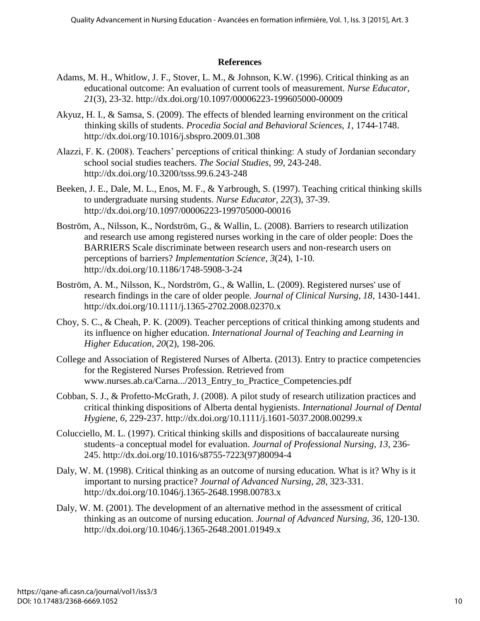## **References**

- Adams, M. H., Whitlow, J. F., Stover, L. M., & Johnson, K.W. (1996). Critical thinking as an educational outcome: An evaluation of current tools of measurement. *Nurse Educator, 21*(3), 23-32. http://dx.doi.org/10.1097/00006223-199605000-00009
- Akyuz, H. I., & Samsa, S. (2009). The effects of blended learning environment on the critical thinking skills of students. *Procedia Social and Behavioral Sciences, 1*, 1744-1748. http://dx.doi.org/10.1016/j.sbspro.2009.01.308
- Alazzi, F. K. (2008). Teachers' perceptions of critical thinking: A study of Jordanian secondary school social studies teachers. *The Social Studies*, *99*, 243-248. http://dx.doi.org/10.3200/tsss.99.6.243-248
- Beeken, J. E., Dale, M. L., Enos, M. F., & Yarbrough, S. (1997). Teaching critical thinking skills to undergraduate nursing students. *Nurse Educator, 22*(3), 37-39. http://dx.doi.org/10.1097/00006223-199705000-00016
- Boström, A., Nilsson, K., Nordström, G., & Wallin, L. (2008). Barriers to research utilization and research use among registered nurses working in the care of older people: Does the BARRIERS Scale discriminate between research users and non-research users on perceptions of barriers? *Implementation Science, 3*(24), 1-10. http://dx.doi.org/10.1186/1748-5908-3-24
- Boström, A. M., Nilsson, K., Nordström, G., & Wallin, L. (2009). Registered nurses' use of research findings in the care of older people. *Journal of Clinical Nursing, 18*, 1430-1441. http://dx.doi.org/10.1111/j.1365-2702.2008.02370.x
- Choy, S. C., & Cheah, P. K. (2009). Teacher perceptions of critical thinking among students and its influence on higher education. *International Journal of Teaching and Learning in Higher Education, 20*(2), 198-206.
- College and Association of Registered Nurses of Alberta. (2013). Entry to practice competencies for the Registered Nurses Profession. Retrieved from www.nurses.ab.ca/Carna.../2013\_Entry\_to\_Practice\_Competencies.pdf
- Cobban, S. J., & Profetto-McGrath, J. (2008). A pilot study of research utilization practices and critical thinking dispositions of Alberta dental hygienists. *International Journal of Dental Hygiene*, *6*, 229-237. http://dx.doi.org/10.1111/j.1601-5037.2008.00299.x
- Colucciello, M. L. (1997). Critical thinking skills and dispositions of baccalaureate nursing students–a conceptual model for evaluation. *Journal of Professional Nursing, 13*, 236- 245. http://dx.doi.org/10.1016/s8755-7223(97)80094-4
- Daly, W. M. (1998). Critical thinking as an outcome of nursing education. What is it? Why is it important to nursing practice? *Journal of Advanced Nursing, 28*, 323-331. http://dx.doi.org/10.1046/j.1365-2648.1998.00783.x
- Daly, W. M. (2001). The development of an alternative method in the assessment of critical thinking as an outcome of nursing education. *Journal of Advanced Nursing, 36*, 120-130. http://dx.doi.org/10.1046/j.1365-2648.2001.01949.x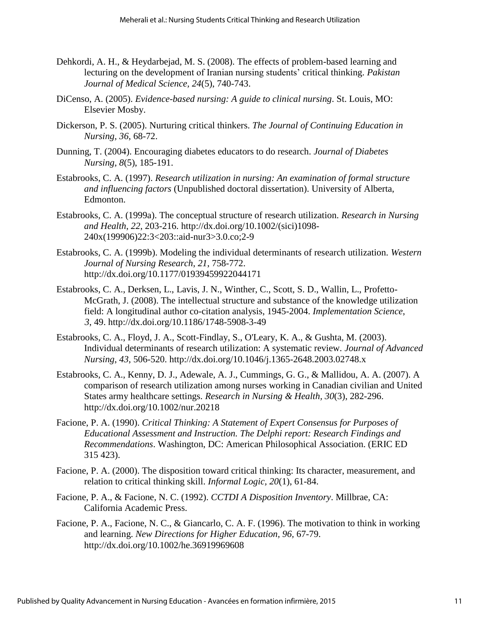- Dehkordi, A. H., & Heydarbejad, M. S. (2008). The effects of problem-based learning and lecturing on the development of Iranian nursing students' critical thinking. *Pakistan Journal of Medical Science, 24*(5), 740-743.
- DiCenso, A. (2005). *Evidence-based nursing: A guide to clinical nursing*. St. Louis, MO: Elsevier Mosby.
- Dickerson, P. S. (2005). Nurturing critical thinkers. *The Journal of Continuing Education in Nursing, 36*, 68-72.
- Dunning, T. (2004). Encouraging diabetes educators to do research. *Journal of Diabetes Nursing, 8*(5), 185-191.
- Estabrooks, C. A. (1997). *Research utilization in nursing: An examination of formal structure and influencing factors* (Unpublished doctoral dissertation). University of Alberta, Edmonton.
- Estabrooks, C. A. (1999a). The conceptual structure of research utilization. *Research in Nursing and Health*, *22*, 203-216. http://dx.doi.org/10.1002/(sici)1098- 240x(199906)22:3<203::aid-nur3>3.0.co;2-9
- Estabrooks, C. A. (1999b). Modeling the individual determinants of research utilization. *Western Journal of Nursing Research*, *21*, 758-772. http://dx.doi.org/10.1177/01939459922044171
- Estabrooks, C. A., Derksen, L., Lavis, J. N., Winther, C., Scott, S. D., Wallin, L., Profetto-McGrath, J. (2008). The intellectual structure and substance of the knowledge utilization field: A longitudinal author co-citation analysis, 1945-2004. *Implementation Science*, *3*, 49. http://dx.doi.org/10.1186/1748-5908-3-49
- Estabrooks, C. A., Floyd, J. A., Scott-Findlay, S., O'Leary, K. A., & Gushta, M. (2003). Individual determinants of research utilization: A systematic review. *Journal of Advanced Nursing*, *43*, 506-520. http://dx.doi.org/10.1046/j.1365-2648.2003.02748.x
- Estabrooks, C. A., Kenny, D. J., Adewale, A. J., Cummings, G. G., & Mallidou, A. A. (2007). A comparison of research utilization among nurses working in Canadian civilian and United States army healthcare settings. *Research in Nursing & Health, 30*(3), 282-296. http://dx.doi.org/10.1002/nur.20218
- Facione, P. A. (1990). *Critical Thinking: A Statement of Expert Consensus for Purposes of Educational Assessment and Instruction. The Delphi report: Research Findings and Recommendations*. Washington, DC: American Philosophical Association. (ERIC ED 315 423).
- Facione, P. A. (2000). The disposition toward critical thinking: Its character, measurement, and relation to critical thinking skill. *Informal Logic, 20*(1), 61-84.
- Facione, P. A., & Facione, N. C. (1992). *CCTDI A Disposition Inventory*. Millbrae, CA: California Academic Press.
- Facione, P. A., Facione, N. C., & Giancarlo, C. A. F. (1996). The motivation to think in working and learning. *New Directions for Higher Education, 96,* 67-79. http://dx.doi.org/10.1002/he.36919969608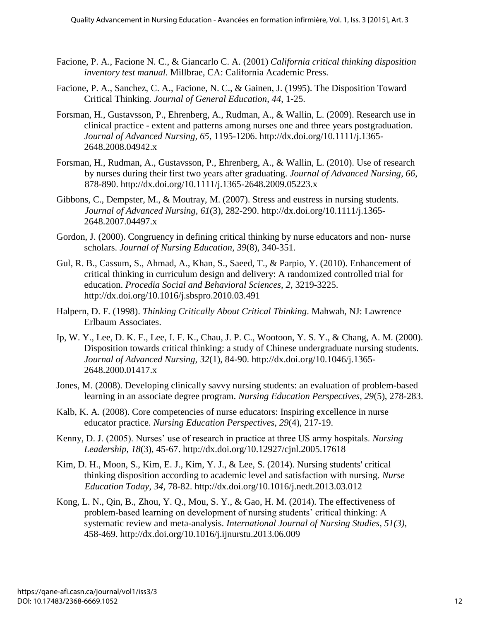- Facione, P. A., Facione N. C., & Giancarlo C. A. (2001) *California critical thinking disposition inventory test manual.* Millbrae, CA: California Academic Press.
- Facione, P. A., Sanchez, C. A., Facione, N. C., & Gainen, J. (1995). The Disposition Toward Critical Thinking. *Journal of General Education*, *44*, 1-25.
- Forsman, H., Gustavsson, P., Ehrenberg, A., Rudman, A., & Wallin, L. (2009). Research use in clinical practice - extent and patterns among nurses one and three years postgraduation. *Journal of Advanced Nursing, 65*, 1195-1206. http://dx.doi.org/10.1111/j.1365- 2648.2008.04942.x
- Forsman, H., Rudman, A., Gustavsson, P., Ehrenberg, A., & Wallin, L. (2010). Use of research by nurses during their first two years after graduating. *Journal of Advanced Nursing, 66*, 878-890. http://dx.doi.org/10.1111/j.1365-2648.2009.05223.x
- Gibbons, C., Dempster, M., & Moutray, M. (2007). Stress and eustress in nursing students. *Journal of Advanced Nursing, 61*(3), 282-290. http://dx.doi.org/10.1111/j.1365- 2648.2007.04497.x
- Gordon, J. (2000). Congruency in defining critical thinking by nurse educators and non- nurse scholars. *Journal of Nursing Education, 39*(8), 340-351.
- Gul, R. B., Cassum, S., Ahmad, A., Khan, S., Saeed, T., & Parpio, Y. (2010). Enhancement of critical thinking in curriculum design and delivery: A randomized controlled trial for education. *Procedia Social and Behavioral Sciences, 2*, 3219-3225. http://dx.doi.org/10.1016/j.sbspro.2010.03.491
- Halpern, D. F. (1998). *Thinking Critically About Critical Thinking*. Mahwah, NJ: Lawrence Erlbaum Associates.
- Ip, W. Y., Lee, D. K. F., Lee, I. F. K., Chau, J. P. C., Wootoon, Y. S. Y., & Chang, A. M. (2000). Disposition towards critical thinking: a study of Chinese undergraduate nursing students. *Journal of Advanced Nursing, 32*(1), 84-90. http://dx.doi.org/10.1046/j.1365- 2648.2000.01417.x
- Jones, M. (2008). Developing clinically savvy nursing students: an evaluation of problem-based learning in an associate degree program. *Nursing Education Perspectives, 29*(5), 278-283.
- Kalb, K. A. (2008). Core competencies of nurse educators: Inspiring excellence in nurse educator practice. *Nursing Education Perspectives, 29*(4), 217-19.
- Kenny, D. J. (2005). Nurses' use of research in practice at three US army hospitals. *Nursing Leadership, 18*(3), 45-67. http://dx.doi.org/10.12927/cjnl.2005.17618
- Kim, D. H., Moon, S., Kim, E. J., Kim, Y. J., & Lee, S. (2014). Nursing students' critical thinking disposition according to academic level and satisfaction with nursing. *Nurse Education Today, 34*, 78-82. http://dx.doi.org/10.1016/j.nedt.2013.03.012
- Kong, L. N., Qin, B., Zhou, Y. Q., Mou, S. Y., & Gao, H. M. (2014). The effectiveness of problem-based learning on development of nursing students' critical thinking: A systematic review and meta-analysis. *International Journal of Nursing Studies, 51(3),* 458-469. http://dx.doi.org/10.1016/j.ijnurstu.2013.06.009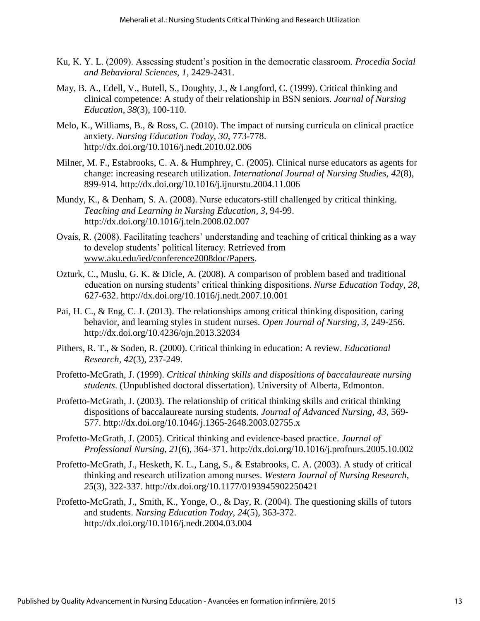- Ku, K. Y. L. (2009). Assessing student's position in the democratic classroom. *Procedia Social and Behavioral Sciences, 1*, 2429-2431.
- May, B. A., Edell, V., Butell, S., Doughty, J., & Langford, C. (1999). Critical thinking and clinical competence: A study of their relationship in BSN seniors. *Journal of Nursing Education, 38*(3), 100-110.
- Melo, K., Williams, B., & Ross, C. (2010). The impact of nursing curricula on clinical practice anxiety. *Nursing Education Today, 30*, 773-778. http://dx.doi.org/10.1016/j.nedt.2010.02.006
- Milner, M. F., Estabrooks, C. A. & Humphrey, C. (2005). Clinical nurse educators as agents for change: increasing research utilization. *International Journal of Nursing Studies, 42*(8), 899-914. http://dx.doi.org/10.1016/j.ijnurstu.2004.11.006
- Mundy, K., & Denham, S. A. (2008). Nurse educators-still challenged by critical thinking. *Teaching and Learning in Nursing Education, 3*, 94-99. http://dx.doi.org/10.1016/j.teln.2008.02.007
- Ovais, R. (2008). Facilitating teachers' understanding and teaching of critical thinking as a way to develop students' political literacy. Retrieved from [www.aku.edu/ied/conference2008doc/Papers.](http://www.aku.edu/ied/conference2008doc/Papers)
- Ozturk, C., Muslu, G. K. & Dicle, A. (2008). A comparison of problem based and traditional education on nursing students' critical thinking dispositions. *Nurse Education Today, 28*, 627-632. http://dx.doi.org/10.1016/j.nedt.2007.10.001
- Pai, H. C., & Eng, C. J. (2013). The relationships among critical thinking disposition, caring behavior, and learning styles in student nurses. *Open Journal of Nursing, 3*, 249-256. http://dx.doi.org/10.4236/ojn.2013.32034
- Pithers, R. T., & Soden, R. (2000). Critical thinking in education: A review. *Educational Research, 42*(3), 237-249.
- Profetto-McGrath, J. (1999). *Critical thinking skills and dispositions of baccalaureate nursing students*. (Unpublished doctoral dissertation). University of Alberta, Edmonton.
- Profetto-McGrath, J. (2003). The relationship of critical thinking skills and critical thinking dispositions of baccalaureate nursing students. *Journal of Advanced Nursing, 43*, 569- 577. http://dx.doi.org/10.1046/j.1365-2648.2003.02755.x
- Profetto-McGrath, J. (2005). Critical thinking and evidence-based practice. *Journal of Professional Nursing, 21*(6), 364-371. http://dx.doi.org/10.1016/j.profnurs.2005.10.002
- Profetto-McGrath, J., Hesketh, K. L., Lang, S., & Estabrooks, C. A. (2003). A study of critical thinking and research utilization among nurses. *Western Journal of Nursing Research*, *25*(3), 322-337. http://dx.doi.org/10.1177/0193945902250421
- Profetto-McGrath, J., Smith, K., Yonge, O., & Day, R. (2004). The questioning skills of tutors and students. *Nursing Education Today, 24*(5), 363-372. http://dx.doi.org/10.1016/j.nedt.2004.03.004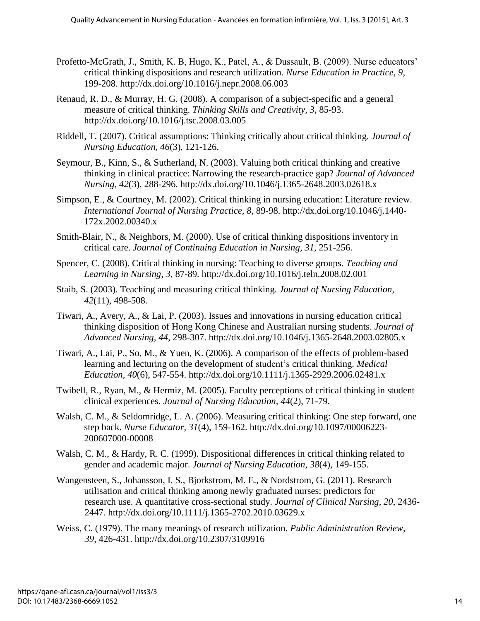- Profetto-McGrath, J., Smith, K. B, Hugo, K., Patel, A., & Dussault, B. (2009). Nurse educators' critical thinking dispositions and research utilization. *Nurse Education in Practice, 9*, 199-208. http://dx.doi.org/10.1016/j.nepr.2008.06.003
- Renaud, R. D., & Murray, H. G. (2008). A comparison of a subject-specific and a general measure of critical thinking. *Thinking Skills and Creativity, 3*, 85-93. http://dx.doi.org/10.1016/j.tsc.2008.03.005
- Riddell, T. (2007). Critical assumptions: Thinking critically about critical thinking. *Journal of Nursing Education, 46*(3), 121-126.
- Seymour, B., Kinn, S., & Sutherland, N. (2003). Valuing both critical thinking and creative thinking in clinical practice: Narrowing the research-practice gap? *Journal of Advanced Nursing, 42*(3), 288-296. http://dx.doi.org/10.1046/j.1365-2648.2003.02618.x
- Simpson, E., & Courtney, M. (2002). Critical thinking in nursing education: Literature review. *International Journal of Nursing Practice, 8*, 89-98. http://dx.doi.org/10.1046/j.1440- 172x.2002.00340.x
- Smith-Blair, N., & Neighbors, M. (2000). Use of critical thinking dispositions inventory in critical care. *Journal of Continuing Education in Nursing, 31*, 251-256.
- Spencer, C. (2008). Critical thinking in nursing: Teaching to diverse groups. *Teaching and Learning in Nursing, 3*, 87-89. http://dx.doi.org/10.1016/j.teln.2008.02.001
- Staib, S. (2003). Teaching and measuring critical thinking. *Journal of Nursing Education, 42*(11), 498-508.
- Tiwari, A., Avery, A., & Lai, P. (2003). Issues and innovations in nursing education critical thinking disposition of Hong Kong Chinese and Australian nursing students. *Journal of Advanced Nursing, 44*, 298-307. http://dx.doi.org/10.1046/j.1365-2648.2003.02805.x
- Tiwari, A., Lai, P., So, M., & Yuen, K. (2006). A comparison of the effects of problem-based learning and lecturing on the development of student's critical thinking. *Medical Education, 40*(6), 547-554. http://dx.doi.org/10.1111/j.1365-2929.2006.02481.x
- Twibell, R., Ryan, M., & Hermiz, M. (2005). Faculty perceptions of critical thinking in student clinical experiences. *Journal of Nursing Education, 44*(2), 71-79.
- Walsh, C. M., & Seldomridge, L. A. (2006). Measuring critical thinking: One step forward, one step back. *Nurse Educator, 31*(4), 159-162. http://dx.doi.org/10.1097/00006223- 200607000-00008
- Walsh, C. M., & Hardy, R. C. (1999). Dispositional differences in critical thinking related to gender and academic major. *Journal of Nursing Education*, *38*(4), 149-155.
- Wangensteen, S., Johansson, I. S., Bjorkstrom, M. E., & Nordstrom, G. (2011). Research utilisation and critical thinking among newly graduated nurses: predictors for research use. A quantitative cross-sectional study. *Journal of Clinical Nursing, 20*, 2436- 2447. http://dx.doi.org/10.1111/j.1365-2702.2010.03629.x
- Weiss, C. (1979). The many meanings of research utilization. *Public Administration Review, 39*, 426-431. http://dx.doi.org/10.2307/3109916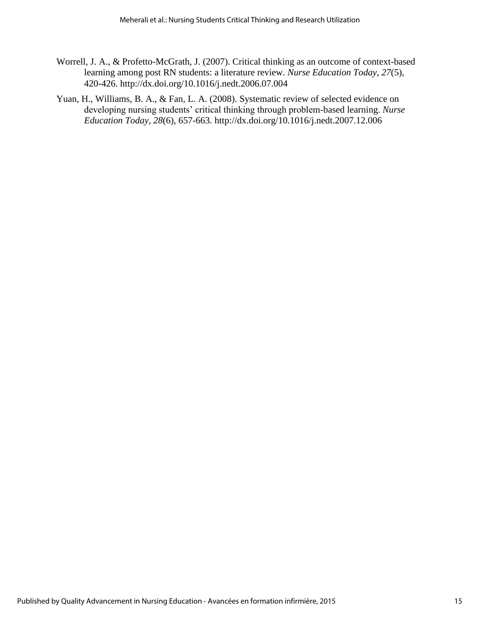- Worrell, J. A., & Profetto-McGrath, J. (2007). Critical thinking as an outcome of context-based learning among post RN students: a literature review. *Nurse Education Today, 27*(5), 420-426. http://dx.doi.org/10.1016/j.nedt.2006.07.004
- Yuan, H., Williams, B. A., & Fan, L. A. (2008). Systematic review of selected evidence on developing nursing students' critical thinking through problem-based learning. *Nurse Education Today, 28*(6), 657-663. http://dx.doi.org/10.1016/j.nedt.2007.12.006